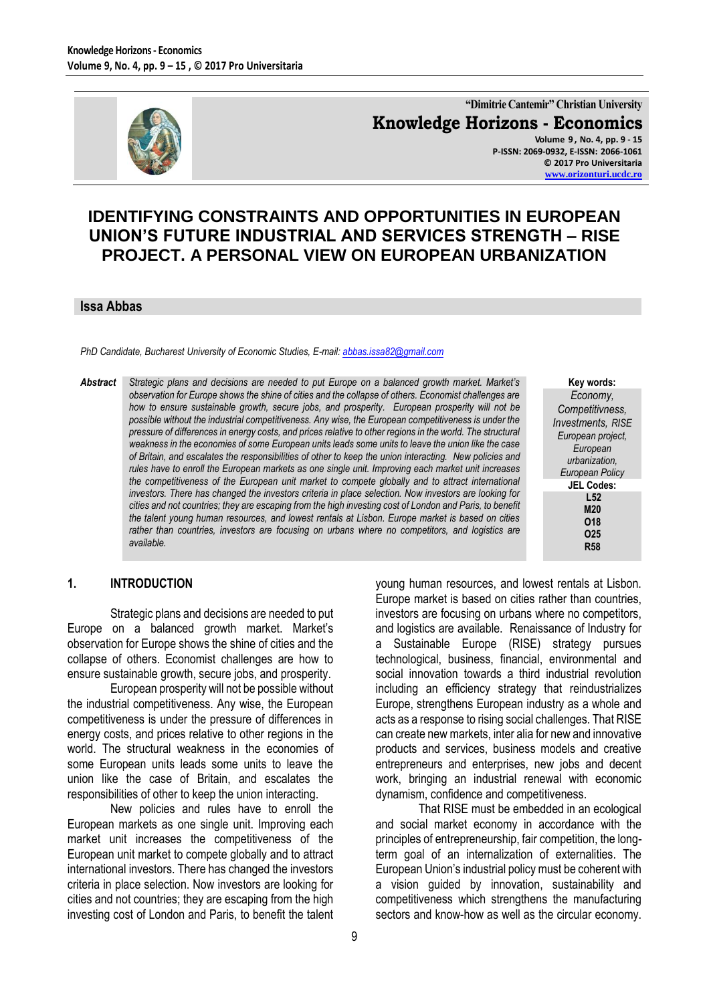

**"Dimitrie Cantemir" Christian University Knowledge Horizons - Economics Volume 9 , No. 4, pp. 9 - 15 P-ISSN: 2069-0932, E-ISSN: 2066-1061**

**© 2017 Pro Universitaria [www.orizonturi.ucdc.ro](http://www.orizonturi.ucdc.ro/)**

# **IDENTIFYING CONSTRAINTS AND OPPORTUNITIES IN EUROPEAN UNION'S FUTURE INDUSTRIAL AND SERVICES STRENGTH – RISE PROJECT. A PERSONAL VIEW ON EUROPEAN URBANIZATION**

#### **Issa Abbas**

*PhD Candidate, Bucharest University of Economic Studies, E-mail: [abbas.issa82@gmail.com](mailto:abbas.issa82@gmail.com)*

*Abstract Strategic plans and decisions are needed to put Europe on a balanced growth market. Market's observation for Europe shows the shine of cities and the collapse of others. Economist challenges are how to ensure sustainable growth, secure jobs, and prosperity. European prosperity will not be possible without the industrial competitiveness. Any wise, the European competitiveness is under the pressure of differences in energy costs, and prices relative to other regions in the world. The structural weakness in the economies of some European units leads some units to leave the union like the case of Britain, and escalates the responsibilities of other to keep the union interacting. New policies and rules have to enroll the European markets as one single unit. Improving each market unit increases the competitiveness of the European unit market to compete globally and to attract international investors. There has changed the investors criteria in place selection. Now investors are looking for cities and not countries; they are escaping from the high investing cost of London and Paris, to benefit the talent young human resources, and lowest rentals at Lisbon. Europe market is based on cities rather than countries, investors are focusing on urbans where no competitors, and logistics are available.* 

**Key words:** *Economy, Competitivness, Investments, RISE European project, European urbanization, European Policy* **JEL Codes: L52 M20 O18 O25 R58**

#### **1. INTRODUCTION**

Strategic plans and decisions are needed to put Europe on a balanced growth market. Market's observation for Europe shows the shine of cities and the collapse of others. Economist challenges are how to ensure sustainable growth, secure jobs, and prosperity.

European prosperity will not be possible without the industrial competitiveness. Any wise, the European competitiveness is under the pressure of differences in energy costs, and prices relative to other regions in the world. The structural weakness in the economies of some European units leads some units to leave the union like the case of Britain, and escalates the responsibilities of other to keep the union interacting.

New policies and rules have to enroll the European markets as one single unit. Improving each market unit increases the competitiveness of the European unit market to compete globally and to attract international investors. There has changed the investors criteria in place selection. Now investors are looking for cities and not countries; they are escaping from the high investing cost of London and Paris, to benefit the talent investors are focusing on urbans where no competitors, and logistics are available. Renaissance of Industry for a Sustainable Europe (RISE) strategy pursues technological, business, financial, environmental and social innovation towards a third industrial revolution including an efficiency strategy that reindustrializes Europe, strengthens European industry as a whole and acts as a response to rising social challenges. That RISE can create new markets, inter alia for new and innovative products and services, business models and creative entrepreneurs and enterprises, new jobs and decent work, bringing an industrial renewal with economic dynamism, confidence and competitiveness. That RISE must be embedded in an ecological

young human resources, and lowest rentals at Lisbon. Europe market is based on cities rather than countries,

and social market economy in accordance with the principles of entrepreneurship, fair competition, the longterm goal of an internalization of externalities. The European Union's industrial policy must be coherent with a vision guided by innovation, sustainability and competitiveness which strengthens the manufacturing sectors and know-how as well as the circular economy.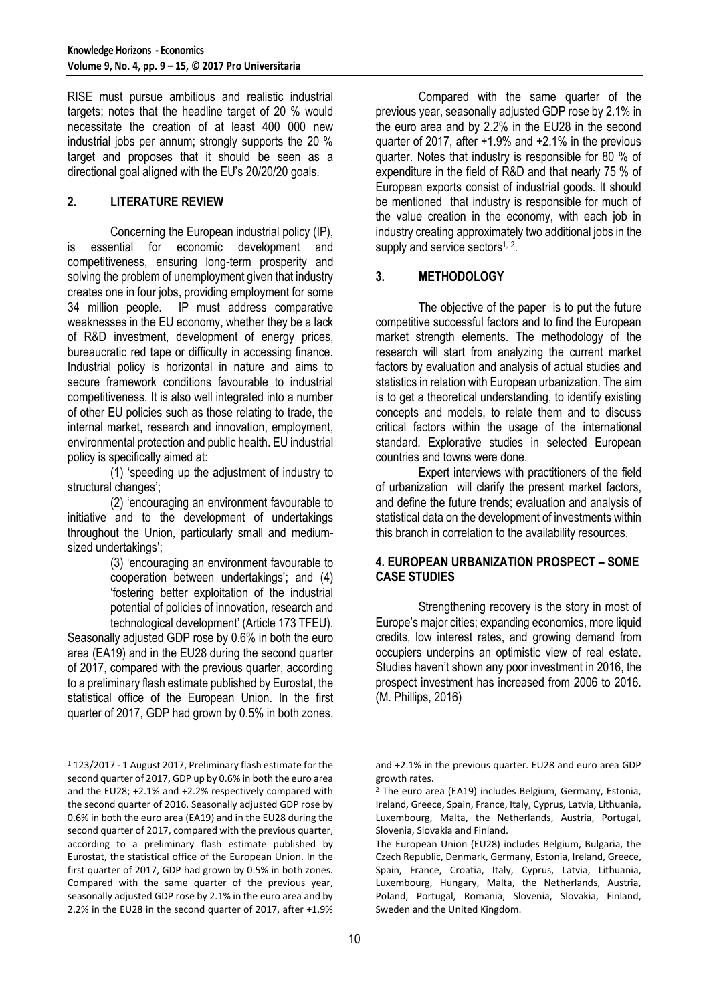RISE must pursue ambitious and realistic industrial targets; notes that the headline target of 20 % would necessitate the creation of at least 400 000 new industrial jobs per annum; strongly supports the 20 % target and proposes that it should be seen as a directional goal aligned with the EU's 20/20/20 goals.

# **2. LITERATURE REVIEW**

Concerning the European industrial policy (IP), is essential for economic development and competitiveness, ensuring long-term prosperity and solving the problem of unemployment given that industry creates one in four jobs, providing employment for some 34 million people. IP must address comparative weaknesses in the EU economy, whether they be a lack of R&D investment, development of energy prices, bureaucratic red tape or difficulty in accessing finance. Industrial policy is horizontal in nature and aims to secure framework conditions favourable to industrial competitiveness. It is also well integrated into a number of other EU policies such as those relating to trade, the internal market, research and innovation, employment, environmental protection and public health. EU industrial policy is specifically aimed at:

(1) 'speeding up the adjustment of industry to structural changes';

(2) 'encouraging an environment favourable to initiative and to the development of undertakings throughout the Union, particularly small and mediumsized undertakings';

(3) 'encouraging an environment favourable to cooperation between undertakings'; and (4) 'fostering better exploitation of the industrial potential of policies of innovation, research and technological development' (Article 173 TFEU).

Seasonally adjusted GDP rose by 0.6% in both the euro area (EA19) and in the EU28 during the second quarter of 2017, compared with the previous quarter, according to a preliminary flash estimate published by Eurostat, the statistical office of the European Union. In the first quarter of 2017, GDP had grown by 0.5% in both zones.

 $\overline{a}$ 

Compared with the same quarter of the previous year, seasonally adjusted GDP rose by 2.1% in the euro area and by 2.2% in the EU28 in the second quarter of 2017, after +1.9% and +2.1% in the previous quarter. Notes that industry is responsible for 80 % of expenditure in the field of R&D and that nearly 75 % of European exports consist of industrial goods. It should be mentioned that industry is responsible for much of the value creation in the economy, with each job in industry creating approximately two additional jobs in the supply and service sectors<sup>1, 2</sup>.

### **3. METHODOLOGY**

The objective of the paper is to put the future competitive successful factors and to find the European market strength elements. The methodology of the research will start from analyzing the current market factors by evaluation and analysis of actual studies and statistics in relation with European urbanization. The aim is to get a theoretical understanding, to identify existing concepts and models, to relate them and to discuss critical factors within the usage of the international standard. Explorative studies in selected European countries and towns were done.

Expert interviews with practitioners of the field of urbanization will clarify the present market factors, and define the future trends; evaluation and analysis of statistical data on the development of investments within this branch in correlation to the availability resources.

### **4. EUROPEAN URBANIZATION PROSPECT – SOME CASE STUDIES**

Strengthening recovery is the story in most of Europe's major cities; expanding economics, more liquid credits, low interest rates, and growing demand from occupiers underpins an optimistic view of real estate. Studies haven't shown any poor investment in 2016, the prospect investment has increased from 2006 to 2016. (M. Phillips, 2016)

<sup>1</sup> 123/2017 - 1 August 2017, Preliminary flash estimate for the second quarter of 2017, GDP up by 0.6% in both the euro area and the EU28; +2.1% and +2.2% respectively compared with the second quarter of 2016. Seasonally adjusted GDP rose by 0.6% in both the euro area (EA19) and in the EU28 during the second quarter of 2017, compared with the previous quarter, according to a preliminary flash estimate published by Eurostat, the statistical office of the European Union. In the first quarter of 2017, GDP had grown by 0.5% in both zones. Compared with the same quarter of the previous year, seasonally adjusted GDP rose by 2.1% in the euro area and by 2.2% in the EU28 in the second quarter of 2017, after +1.9%

and +2.1% in the previous quarter. EU28 and euro area GDP growth rates.

<sup>2</sup> The euro area (EA19) includes Belgium, Germany, Estonia, Ireland, Greece, Spain, France, Italy, Cyprus, Latvia, Lithuania, Luxembourg, Malta, the Netherlands, Austria, Portugal, Slovenia, Slovakia and Finland.

The European Union (EU28) includes Belgium, Bulgaria, the Czech Republic, Denmark, Germany, Estonia, Ireland, Greece, Spain, France, Croatia, Italy, Cyprus, Latvia, Lithuania, Luxembourg, Hungary, Malta, the Netherlands, Austria, Poland, Portugal, Romania, Slovenia, Slovakia, Finland, Sweden and the United Kingdom.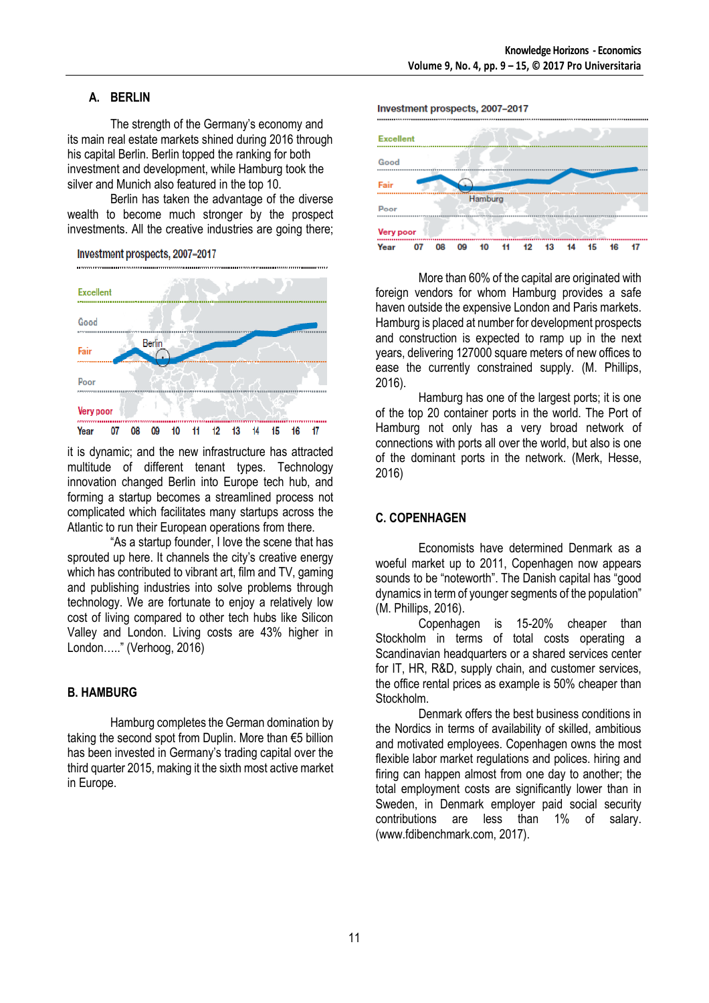# **A. BERLIN**

The strength of the Germany's economy and its main real estate markets shined during 2016 through his capital Berlin. Berlin topped the ranking for both investment and development, while Hamburg took the silver and Munich also featured in the top 10.

Berlin has taken the advantage of the diverse wealth to become much stronger by the prospect investments. All the creative industries are going there;





it is dynamic; and the new infrastructure has attracted multitude of different tenant types. Technology innovation changed Berlin into Europe tech hub, and forming a startup becomes a streamlined process not complicated which facilitates many startups across the Atlantic to run their European operations from there.

"As a startup founder, I love the scene that has sprouted up here. It channels the city's creative energy which has contributed to vibrant art, film and TV, gaming and publishing industries into solve problems through technology. We are fortunate to enjoy a relatively low cost of living compared to other tech hubs like Silicon Valley and London. Living costs are 43% higher in London….." (Verhoog, 2016)

#### **B. HAMBURG**

Hamburg completes the German domination by taking the second spot from Duplin. More than €5 billion has been invested in Germany's trading capital over the third quarter 2015, making it the sixth most active market in Europe.

Investment prospects, 2007-2017



More than 60% of the capital are originated with foreign vendors for whom Hamburg provides a safe haven outside the expensive London and Paris markets. Hamburg is placed at number for development prospects and construction is expected to ramp up in the next years, delivering 127000 square meters of new offices to ease the currently constrained supply. (M. Phillips, 2016).

Hamburg has one of the largest ports; it is one of the top 20 container ports in the world. The Port of Hamburg not only has a very broad network of connections with ports all over the world, but also is one of the dominant ports in the network. (Merk, Hesse, 2016)

### **C. COPENHAGEN**

Economists have determined Denmark as a woeful market up to 2011, Copenhagen now appears sounds to be "noteworth". The Danish capital has "good dynamics in term of younger segments of the population" (M. Phillips, 2016).

Copenhagen is 15-20% cheaper than Stockholm in terms of total costs operating a Scandinavian headquarters or a shared services center for IT, HR, R&D, supply chain, and customer services, the office rental prices as example is 50% cheaper than Stockholm.

Denmark offers the best business conditions in the Nordics in terms of availability of skilled, ambitious and motivated employees. Copenhagen owns the most flexible labor market regulations and polices. hiring and firing can happen almost from one day to another; the total employment costs are significantly lower than in Sweden, in Denmark employer paid social security contributions are less than 1% of salary. (www.fdibenchmark.com, 2017).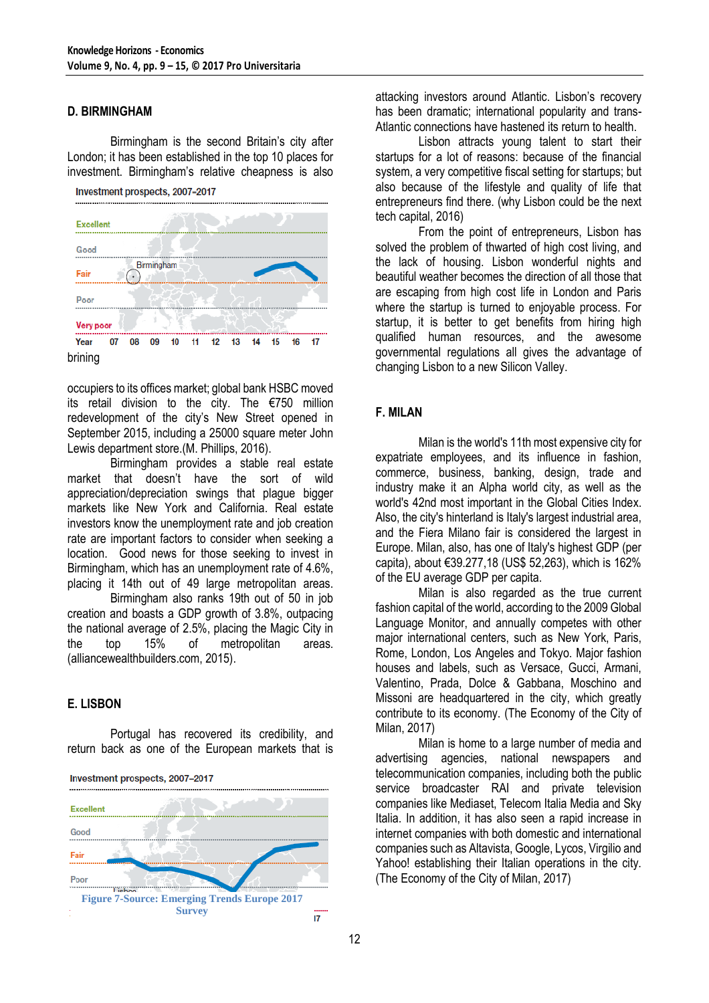#### **D. BIRMINGHAM**

Birmingham is the second Britain's city after London; it has been established in the top 10 places for investment. Birmingham's relative cheapness is also



occupiers to its offices market; global bank HSBC moved its retail division to the city. The €750 million redevelopment of the city's New Street opened in September 2015, including a 25000 square meter John Lewis department store.(M. Phillips, 2016).

Birmingham provides a stable real estate market that doesn't have the sort of wild appreciation/depreciation swings that plague bigger markets like New York and California. Real estate investors know the unemployment rate and job creation rate are important factors to consider when seeking a location. Good news for those seeking to invest in Birmingham, which has an unemployment rate of 4.6%, placing it 14th out of 49 large metropolitan areas.

Birmingham also ranks 19th out of 50 in job creation and boasts a GDP growth of 3.8%, outpacing the national average of 2.5%, placing the Magic City in the top 15% of metropolitan areas. (alliancewealthbuilders.com, 2015).

# **E. LISBON**

Portugal has recovered its credibility, and return back as one of the European markets that is



Investment prospects, 2007-2017

attacking investors around Atlantic. Lisbon's recovery has been dramatic; international popularity and trans-Atlantic connections have hastened its return to health.

Lisbon attracts young talent to start their startups for a lot of reasons: because of the financial system, a very competitive fiscal setting for startups; but also because of the lifestyle and quality of life that entrepreneurs find there. (why Lisbon could be the next tech capital, 2016)

From the point of entrepreneurs, Lisbon has solved the problem of thwarted of high cost living, and the lack of housing. Lisbon wonderful nights and beautiful weather becomes the direction of all those that are escaping from high cost life in London and Paris where the startup is turned to enjoyable process. For startup, it is better to get benefits from hiring high qualified human resources, and the awesome governmental regulations all gives the advantage of changing Lisbon to a new Silicon Valley.

# **F. MILAN**

Milan is the world's 11th most expensive city for expatriate employees, and its influence in fashion, commerce, business, banking, design, trade and industry make it an Alpha world city, as well as the world's 42nd most important in the Global Cities Index. Also, the city's hinterland is Italy's largest industrial area, and the Fiera Milano fair is considered the largest in Europe. Milan, also, has one of Italy's highest GDP (per capita), about €39.277,18 (US\$ 52,263), which is 162% of the EU average GDP per capita.

Milan is also regarded as the true current fashion capital of the world, according to the 2009 Global Language Monitor, and annually competes with other major international centers, such as New York, Paris, Rome, London, Los Angeles and Tokyo. Major fashion houses and labels, such as Versace, Gucci, Armani, Valentino, Prada, Dolce & Gabbana, Moschino and Missoni are headquartered in the city, which greatly contribute to its economy. (The Economy of the City of Milan, 2017)

Milan is home to a large number of media and advertising agencies, national newspapers and telecommunication companies, including both the public service broadcaster RAI and private television companies like Mediaset, Telecom Italia Media and Sky Italia. In addition, it has also seen a rapid increase in internet companies with both domestic and international companies such as Altavista, Google, Lycos, Virgilio and Yahoo! establishing their Italian operations in the city. (The Economy of the City of Milan, 2017)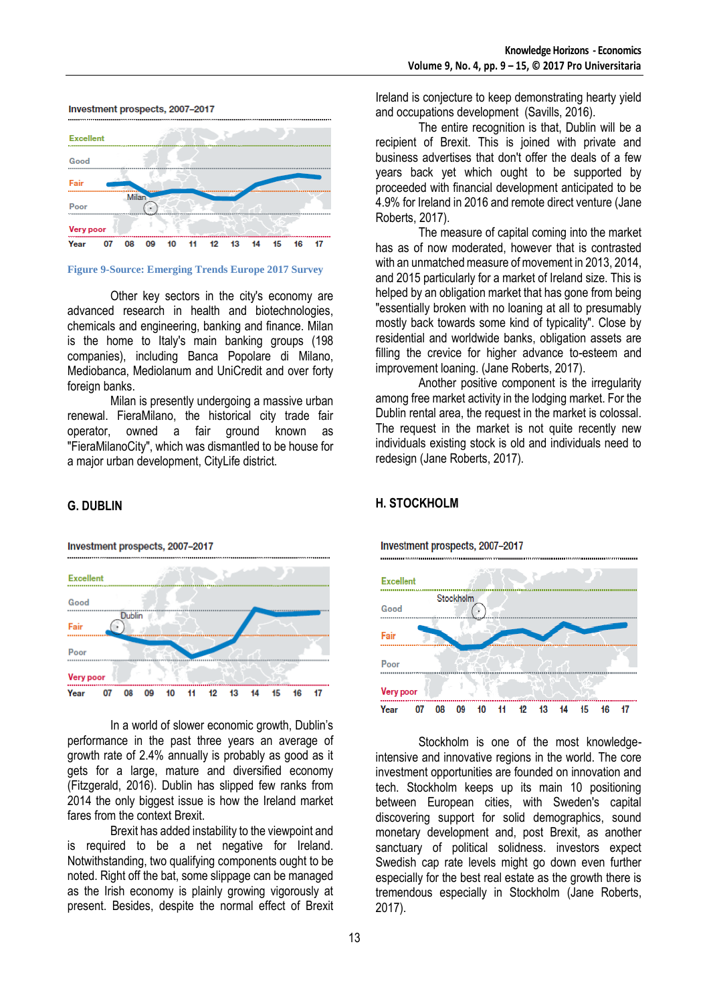#### Investment prospects, 2007-2017



#### **Figure 9-Source: Emerging Trends Europe 2017 Survey**

Other key sectors in the city's economy are advanced research in health and biotechnologies, chemicals and engineering, banking and finance. Milan is the home to Italy's main banking groups (198 companies), including Banca Popolare di Milano, Mediobanca, Mediolanum and UniCredit and over forty foreign banks.

Milan is presently undergoing a massive urban renewal. FieraMilano, the historical city trade fair operator, owned a fair ground known as "FieraMilanoCity", which was dismantled to be house for a major urban development, CityLife district.

#### **G. DUBLIN**

Investment prospects, 2007-2017



In a world of slower economic growth, Dublin's performance in the past three years an average of growth rate of 2.4% annually is probably as good as it gets for a large, mature and diversified economy (Fitzgerald, 2016). Dublin has slipped few ranks from 2014 the only biggest issue is how the Ireland market fares from the context Brexit.

Brexit has added instability to the viewpoint and is required to be a net negative for Ireland. Notwithstanding, two qualifying components ought to be noted. Right off the bat, some slippage can be managed as the Irish economy is plainly growing vigorously at present. Besides, despite the normal effect of Brexit

Ireland is conjecture to keep demonstrating hearty yield and occupations development (Savills, 2016).

The entire recognition is that, Dublin will be a recipient of Brexit. This is joined with private and business advertises that don't offer the deals of a few years back yet which ought to be supported by proceeded with financial development anticipated to be 4.9% for Ireland in 2016 and remote direct venture (Jane Roberts, 2017).

The measure of capital coming into the market has as of now moderated, however that is contrasted with an unmatched measure of movement in 2013, 2014, and 2015 particularly for a market of Ireland size. This is helped by an obligation market that has gone from being "essentially broken with no loaning at all to presumably mostly back towards some kind of typicality". Close by residential and worldwide banks, obligation assets are filling the crevice for higher advance to-esteem and improvement loaning. (Jane Roberts, 2017).

Another positive component is the irregularity among free market activity in the lodging market. For the Dublin rental area, the request in the market is colossal. The request in the market is not quite recently new individuals existing stock is old and individuals need to redesign (Jane Roberts, 2017).



Stockholm is one of the most knowledgeintensive and innovative regions in the world. The core investment opportunities are founded on innovation and tech. Stockholm keeps up its main 10 positioning between European cities, with Sweden's capital discovering support for solid demographics, sound monetary development and, post Brexit, as another sanctuary of political solidness. investors expect Swedish cap rate levels might go down even further especially for the best real estate as the growth there is tremendous especially in Stockholm (Jane Roberts, 2017).

# **H. STOCKHOLM**

Investment prospects, 2007-2017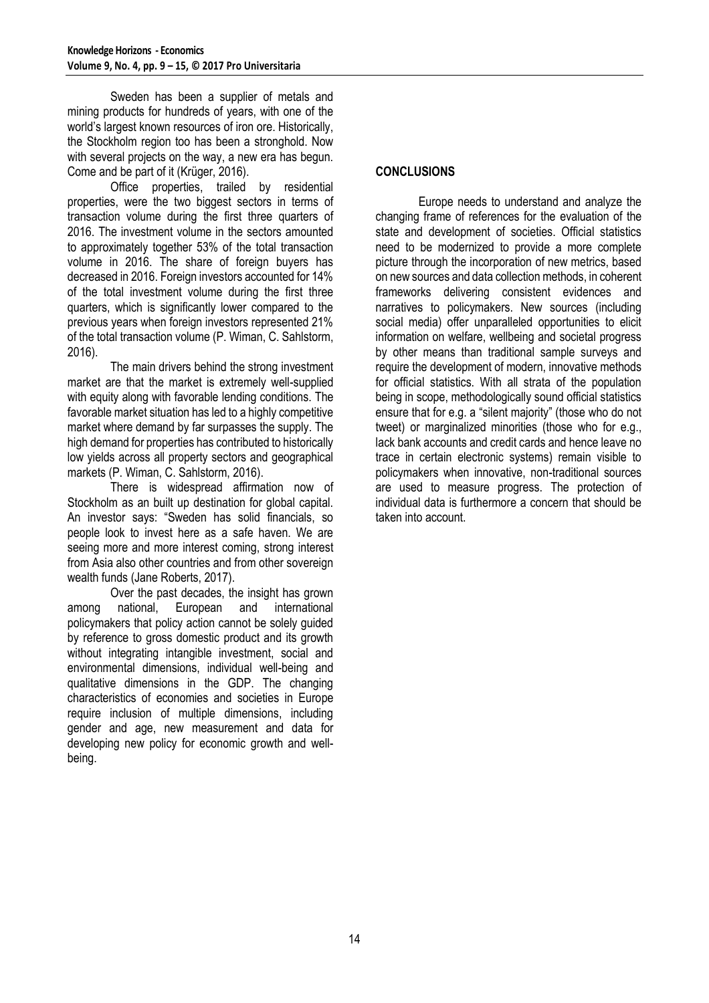Sweden has been a supplier of metals and mining products for hundreds of years, with one of the world's largest known resources of iron ore. Historically, the Stockholm region too has been a stronghold. Now with several projects on the way, a new era has begun. Come and be part of it (Krüger, 2016).

Office properties, trailed by residential properties, were the two biggest sectors in terms of transaction volume during the first three quarters of 2016. The investment volume in the sectors amounted to approximately together 53% of the total transaction volume in 2016. The share of foreign buyers has decreased in 2016. Foreign investors accounted for 14% of the total investment volume during the first three quarters, which is significantly lower compared to the previous years when foreign investors represented 21% of the total transaction volume (P. Wiman, C. Sahlstorm, 2016).

The main drivers behind the strong investment market are that the market is extremely well-supplied with equity along with favorable lending conditions. The favorable market situation has led to a highly competitive market where demand by far surpasses the supply. The high demand for properties has contributed to historically low yields across all property sectors and geographical markets (P. Wiman, C. Sahlstorm, 2016).

There is widespread affirmation now of Stockholm as an built up destination for global capital. An investor says: "Sweden has solid financials, so people look to invest here as a safe haven. We are seeing more and more interest coming, strong interest from Asia also other countries and from other sovereign wealth funds (Jane Roberts, 2017).

Over the past decades, the insight has grown among national, European and international policymakers that policy action cannot be solely guided by reference to gross domestic product and its growth without integrating intangible investment, social and environmental dimensions, individual well-being and qualitative dimensions in the GDP. The changing characteristics of economies and societies in Europe require inclusion of multiple dimensions, including gender and age, new measurement and data for developing new policy for economic growth and wellbeing.

# **CONCLUSIONS**

Europe needs to understand and analyze the changing frame of references for the evaluation of the state and development of societies. Official statistics need to be modernized to provide a more complete picture through the incorporation of new metrics, based on new sources and data collection methods, in coherent frameworks delivering consistent evidences and narratives to policymakers. New sources (including social media) offer unparalleled opportunities to elicit information on welfare, wellbeing and societal progress by other means than traditional sample surveys and require the development of modern, innovative methods for official statistics. With all strata of the population being in scope, methodologically sound official statistics ensure that for e.g. a "silent majority" (those who do not tweet) or marginalized minorities (those who for e.g., lack bank accounts and credit cards and hence leave no trace in certain electronic systems) remain visible to policymakers when innovative, non-traditional sources are used to measure progress. The protection of individual data is furthermore a concern that should be taken into account.